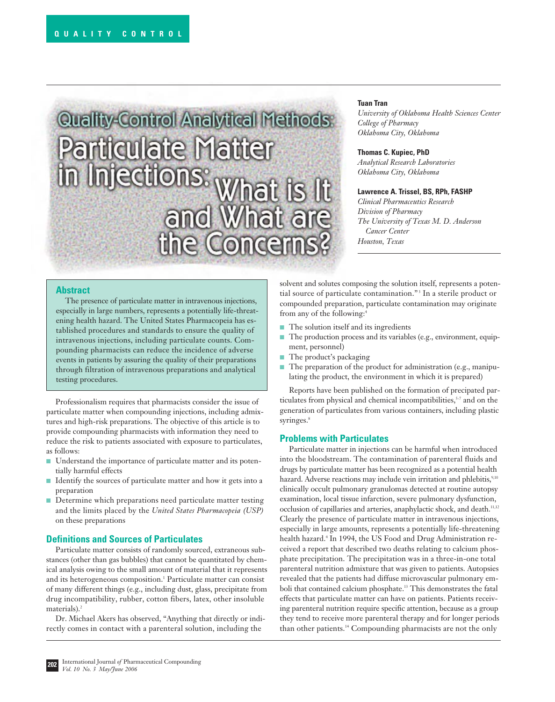# **Control Analytical Methods**

# **Tuan Tran**

*University of Oklahoma Health Sciences Center College of Pharmacy Oklahoma City, Oklahoma*

### **Thomas C. Kupiec, PhD**

*Analytical Research Laboratories Oklahoma City, Oklahoma*

### **Lawrence A. Trissel, BS, RPh, FASHP**

*Clinical Pharmaceutics Research Division of Pharmacy The University of Texas M. D. Anderson Cancer Center Houston, Texas*

# **Abstract**

The presence of particulate matter in intravenous injections, especially in large numbers, represents a potentially life-threatening health hazard. The United States Pharmacopeia has established procedures and standards to ensure the quality of intravenous injections, including particulate counts. Compounding pharmacists can reduce the incidence of adverse events in patients by assuring the quality of their preparations through filtration of intravenous preparations and analytical testing procedures.

Professionalism requires that pharmacists consider the issue of particulate matter when compounding injections, including admixtures and high-risk preparations. The objective of this article is to provide compounding pharmacists with information they need to reduce the risk to patients associated with exposure to particulates, as follows:

- Understand the importance of particulate matter and its potentially harmful effects
- Identify the sources of particulate matter and how it gets into a preparation
- Determine which preparations need particulate matter testing and the limits placed by the *United States Pharmacopeia (USP)* on these preparations

# **Definitions and Sources of Particulates**

Particulate matter consists of randomly sourced, extraneous substances (other than gas bubbles) that cannot be quantitated by chemical analysis owing to the small amount of material that it represents and its heterogeneous composition.<sup>1</sup> Particulate matter can consist of many different things (e.g., including dust, glass, precipitate from drug incompatibility, rubber, cotton fibers, latex, other insoluble materials).<sup>2</sup>

Dr. Michael Akers has observed, "Anything that directly or indirectly comes in contact with a parenteral solution, including the

solvent and solutes composing the solution itself, represents a potential source of particulate contamination."<sup>3</sup> In a sterile product or compounded preparation, particulate contamination may originate from any of the following:<sup>4</sup>

- The solution itself and its ingredients
- The production process and its variables (e.g., environment, equipment, personnel)
- The product's packaging
- The preparation of the product for administration (e.g., manipulating the product, the environment in which it is prepared)

Reports have been published on the formation of precipated particulates from physical and chemical incompatibilities, $5-7$  and on the generation of particulates from various containers, including plastic syringes.<sup>8</sup>

### **Problems with Particulates**

Particulate matter in injections can be harmful when introduced into the bloodstream. The contamination of parenteral fluids and drugs by particulate matter has been recognized as a potential health hazard. Adverse reactions may include vein irritation and phlebitis,<sup>9,10</sup> clinically occult pulmonary granulomas detected at routine autopsy examination, local tissue infarction, severe pulmonary dysfunction, occlusion of capillaries and arteries, anaphylactic shock, and death.<sup>11,12</sup> Clearly the presence of particulate matter in intravenous injections, especially in large amounts, represents a potentially life-threatening health hazard.<sup>4</sup> In 1994, the US Food and Drug Administration received a report that described two deaths relating to calcium phosphate precipitation. The precipitation was in a three-in-one total parenteral nutrition admixture that was given to patients. Autopsies revealed that the patients had diffuse microvascular pulmonary emboli that contained calcium phosphate.13 This demonstrates the fatal effects that particulate matter can have on patients. Patients receiving parenteral nutrition require specific attention, because as a group they tend to receive more parenteral therapy and for longer periods than other patients.14 Compounding pharmacists are not the only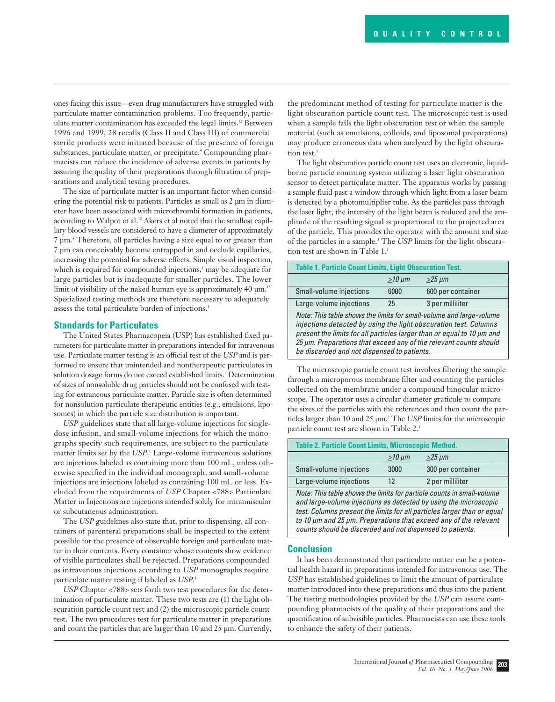ones facing this issue—even drug manufacturers have struggled with particulate matter contamination problems. Too frequently, particulate matter contamination has exceeded the legal limits.<sup>12</sup> Between 1996 and 1999, 28 recalls (Class II and Class III) of commercial sterile products were initiated because of the presence of foreign substances, particulate matter, or precipitate.<sup>4</sup> Compounding pharmacists can reduce the incidence of adverse events in patients by assuring the quality of their preparations through filtration of preparations and analytical testing procedures.

The size of particulate matter is an important factor when considering the potential risk to patients. Particles as small as 2 µm in diameter have been associated with microthrombi formation in patients, according to Walpot et al.<sup>12</sup> Akers et al noted that the smallest capillary blood vessels are considered to have a diameter of approximately 7 µm.3 Therefore, all particles having a size equal to or greater than 7 µm can conceivably become entrapped in and occlude capillaries, increasing the potential for adverse effects. Simple visual inspection, which is required for compounded injections,<sup>1</sup> may be adequate for large particles but is inadequate for smaller particles. The lower limit of visibility of the naked human eye is approximately 40  $\mu$ m.<sup>15</sup> Specialized testing methods are therefore necessary to adequately assess the total particulate burden of injections.<sup>1</sup>

### **Standards for Particulates**

The United States Pharmacopeia (USP) has established fixed parameters for particulate matter in preparations intended for intravenous use. Particulate matter testing is an official test of the *USP* and is performed to ensure that unintended and nontherapeutic particulates in solution dosage forms do not exceed established limits.<sup>1</sup> Determination of sizes of nonsoluble drug particles should not be confused with testing for extraneous particulate matter. Particle size is often determined for nonsolution particulate therapeutic entities (e.g., emulsions, liposomes) in which the particle size distribution is important.

*USP* guidelines state that all large-volume injections for singledose infusion, and small-volume injections for which the monographs specify such requirements, are subject to the particulate matter limits set by the *USP*. <sup>1</sup> Large-volume intravenous solutions are injections labeled as containing more than 100 mL, unless otherwise specified in the individual monograph, and small-volume injections are injections labeled as containing 100 mL or less. Excluded from the requirements of *USP* Chapter <788> Particulate Matter in Injections are injections intended solely for intramuscular or subcutaneous administration.

The *USP* guidelines also state that, prior to dispensing, all containers of parenteral preparations shall be inspected to the extent possible for the presence of observable foreign and particulate matter in their contents. Every container whose contents show evidence of visible particulates shall be rejected. Preparations compounded as intravenous injections according to *USP* monographs require particulate matter testing if labeled as *USP*. 1

*USP* Chapter <788> sets forth two test procedures for the determination of particulate matter. These two tests are (1) the light obscuration particle count test and (2) the microscopic particle count test. The two procedures test for particulate matter in preparations and count the particles that are larger than 10 and 25 µm. Currently, the predominant method of testing for particulate matter is the light obscuration particle count test. The microscopic test is used when a sample fails the light obscuration test or when the sample material (such as emulsions, colloids, and liposomal preparations) may produce erroneous data when analyzed by the light obscuration test.<sup>1</sup>

The light obscuration particle count test uses an electronic, liquidborne particle counting system utilizing a laser light obscuration sensor to detect particulate matter. The apparatus works by passing a sample fluid past a window through which light from a laser beam is detected by a photomultiplier tube. As the particles pass through the laser light, the intensity of the light beam is reduced and the amplitude of the resulting signal is proportional to the projected area of the particle. This provides the operator with the amount and size of the particles in a sample.2 The *USP* limits for the light obscuration test are shown in Table 1.<sup>1</sup>

| <b>Table 1. Particle Count Limits, Light Obscuration Test.</b>                                                                                                                                                                                                                                                                        |             |                   |  |  |
|---------------------------------------------------------------------------------------------------------------------------------------------------------------------------------------------------------------------------------------------------------------------------------------------------------------------------------------|-------------|-------------------|--|--|
|                                                                                                                                                                                                                                                                                                                                       | $>10 \mu m$ | $>25 \mu m$       |  |  |
| Small-volume injections                                                                                                                                                                                                                                                                                                               | 6000        | 600 per container |  |  |
| Large-volume injections                                                                                                                                                                                                                                                                                                               | 25          | 3 per milliliter  |  |  |
| Note: This table shows the limits for small-volume and large-volume<br>injections detected by using the light obscuration test. Columns<br>present the limits for all particles larger than or equal to 10 µm and<br>25 µm. Preparations that exceed any of the relevant counts should<br>be discarded and not dispensed to patients. |             |                   |  |  |

The microscopic particle count test involves filtering the sample through a microporous membrane filter and counting the particles collected on the membrane under a compound binocular microscope. The operator uses a circular diameter graticule to compare the sizes of the particles with the references and then count the particles larger than 10 and 25 µm.2 The *USP* limits for the microscopic particle count test are shown in Table 2.<sup>1</sup>

| <b>Table 2. Particle Count Limits, Microscopic Method.</b>                                                                                                                                                           |             |                   |  |
|----------------------------------------------------------------------------------------------------------------------------------------------------------------------------------------------------------------------|-------------|-------------------|--|
|                                                                                                                                                                                                                      | $>10 \mu m$ | $>25 \mu m$       |  |
| Small-volume injections                                                                                                                                                                                              | 3000        | 300 per container |  |
| Large-volume injections                                                                                                                                                                                              | 12          | 2 per milliliter  |  |
| Note: This table shows the limits for particle counts in small-volume<br>and large-volume injections as detected by using the microscopic<br>test. Columns present the limits for all particles larger than or equal |             |                   |  |

test. Columns present the limits for all particles larger than or equal to 10 µm and 25 µm. Preparations that exceed any of the relevant counts should be discarded and not dispensed to patients.

### **Conclusion**

It has been demonstrated that particulate matter can be a potential health hazard in preparations intended for intravenous use. The *USP* has established guidelines to limit the amount of particulate matter introduced into these preparations and thus into the patient. The testing methodologies provided by the *USP* can assure compounding pharmacists of the quality of their preparations and the quantification of subvisible particles. Pharmacists can use these tools to enhance the safety of their patients.